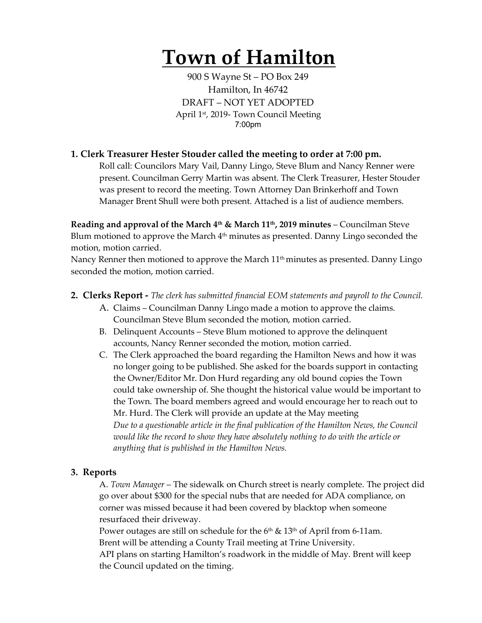# **Town of Hamilton**

900 S Wayne St – PO Box 249 Hamilton, In 46742 DRAFT – NOT YET ADOPTED April 1<sup>st</sup>, 2019- Town Council Meeting 7:00pm

## **1. Clerk Treasurer Hester Stouder called the meeting to order at 7:00 pm.**

Roll call: Councilors Mary Vail, Danny Lingo, Steve Blum and Nancy Renner were present. Councilman Gerry Martin was absent. The Clerk Treasurer, Hester Stouder was present to record the meeting. Town Attorney Dan Brinkerhoff and Town Manager Brent Shull were both present. Attached is a list of audience members.

**Reading and approval of the March 4th & March 11th, 2019 minutes** – Councilman Steve Blum motioned to approve the March  $4<sup>th</sup>$  minutes as presented. Danny Lingo seconded the motion, motion carried.

Nancy Renner then motioned to approve the March 11<sup>th</sup> minutes as presented. Danny Lingo seconded the motion, motion carried.

### **2. Clerks Report -** *The clerk has submitted financial EOM statements and payroll to the Council.*

- A. Claims Councilman Danny Lingo made a motion to approve the claims. Councilman Steve Blum seconded the motion, motion carried.
- B. Delinquent Accounts Steve Blum motioned to approve the delinquent accounts, Nancy Renner seconded the motion, motion carried.
- C. The Clerk approached the board regarding the Hamilton News and how it was no longer going to be published. She asked for the boards support in contacting the Owner/Editor Mr. Don Hurd regarding any old bound copies the Town could take ownership of. She thought the historical value would be important to the Town. The board members agreed and would encourage her to reach out to Mr. Hurd. The Clerk will provide an update at the May meeting *Due to a questionable article in the final publication of the Hamilton News, the Council would like the record to show they have absolutely nothing to do with the article or anything that is published in the Hamilton News.*

### **3. Reports**

A. *Town Manager* – The sidewalk on Church street is nearly complete. The project did go over about \$300 for the special nubs that are needed for ADA compliance, on corner was missed because it had been covered by blacktop when someone resurfaced their driveway.

Power outages are still on schedule for the  $6<sup>th</sup>$  &  $13<sup>th</sup>$  of April from 6-11am. Brent will be attending a County Trail meeting at Trine University. API plans on starting Hamilton's roadwork in the middle of May. Brent will keep

the Council updated on the timing.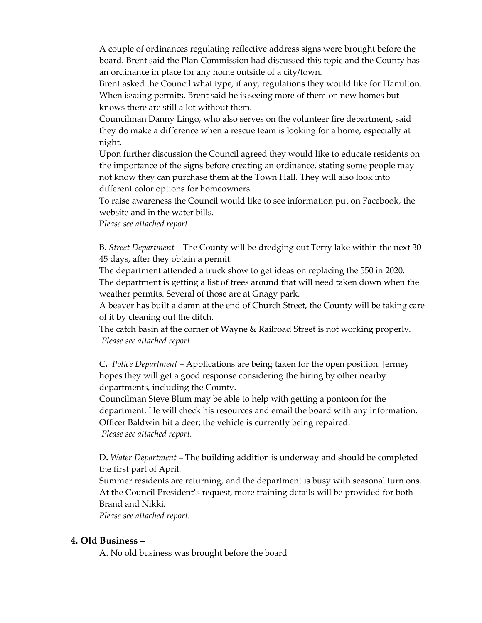A couple of ordinances regulating reflective address signs were brought before the board. Brent said the Plan Commission had discussed this topic and the County has an ordinance in place for any home outside of a city/town.

Brent asked the Council what type, if any, regulations they would like for Hamilton. When issuing permits, Brent said he is seeing more of them on new homes but knows there are still a lot without them.

Councilman Danny Lingo, who also serves on the volunteer fire department, said they do make a difference when a rescue team is looking for a home, especially at night.

Upon further discussion the Council agreed they would like to educate residents on the importance of the signs before creating an ordinance, stating some people may not know they can purchase them at the Town Hall. They will also look into different color options for homeowners.

To raise awareness the Council would like to see information put on Facebook, the website and in the water bills.

P*lease see attached report*

B*. Street Department* – The County will be dredging out Terry lake within the next 30- 45 days, after they obtain a permit.

The department attended a truck show to get ideas on replacing the 550 in 2020. The department is getting a list of trees around that will need taken down when the weather permits. Several of those are at Gnagy park.

A beaver has built a damn at the end of Church Street, the County will be taking care of it by cleaning out the ditch.

The catch basin at the corner of Wayne & Railroad Street is not working properly. *Please see attached report*

C**.** *Police Department –* Applications are being taken for the open position. Jermey hopes they will get a good response considering the hiring by other nearby departments, including the County.

Councilman Steve Blum may be able to help with getting a pontoon for the department. He will check his resources and email the board with any information. Officer Baldwin hit a deer; the vehicle is currently being repaired. *Please see attached report.*

D**.** *Water Department* – The building addition is underway and should be completed the first part of April.

Summer residents are returning, and the department is busy with seasonal turn ons. At the Council President's request, more training details will be provided for both Brand and Nikki.

*Please see attached report.* 

#### **4. Old Business –**

A. No old business was brought before the board